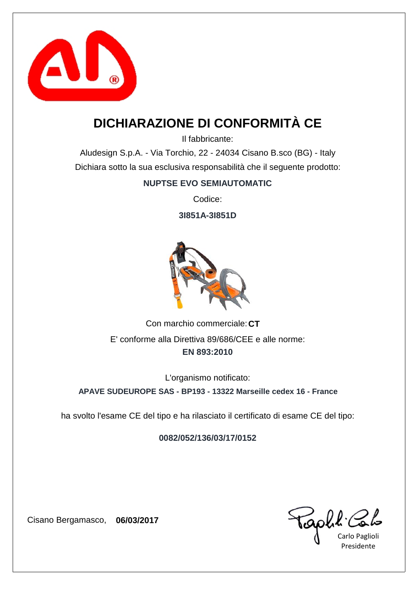

## **DICHIARAZIONE DI CONFORMITÀ CE**

Il fabbricante:

Aludesign S.p.A. - Via Torchio, 22 - 24034 Cisano B.sco (BG) - Italy Dichiara sotto la sua esclusiva responsabilità che il seguente prodotto:

#### **NUPTSE EVO SEMIAUTOMATIC**

Codice:

**3I851A-3I851D**



Con marchio commerciale: CT **EN 893:2010** E' conforme alla Direttiva 89/686/CEE e alle norme:

**APAVE SUDEUROPE SAS - BP193 - 13322 Marseille cedex 16 - France** L'organismo notificato:

ha svolto l'esame CE del tipo e ha rilasciato il certificato di esame CE del tipo:

**0082/052/136/03/17/0152**

capha'

Carlo Paglioli Presidente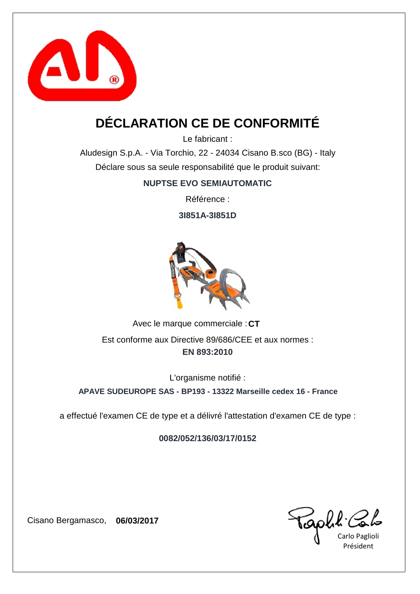

## **DÉCLARATION CE DE CONFORMITÉ**

Le fabricant :

Aludesign S.p.A. - Via Torchio, 22 - 24034 Cisano B.sco (BG) - Italy Déclare sous sa seule responsabilité que le produit suivant:

#### **NUPTSE EVO SEMIAUTOMATIC**

Référence :

**3I851A-3I851D**



Avec le marque commerciale : CT **EN 893:2010** Est conforme aux Directive 89/686/CEE et aux normes :

L'organisme notifié :

**APAVE SUDEUROPE SAS - BP193 - 13322 Marseille cedex 16 - France**

a effectué l'examen CE de type et a délivré l'attestation d'examen CE de type :

**0082/052/136/03/17/0152**

Golk'

Carlo Paglioli Président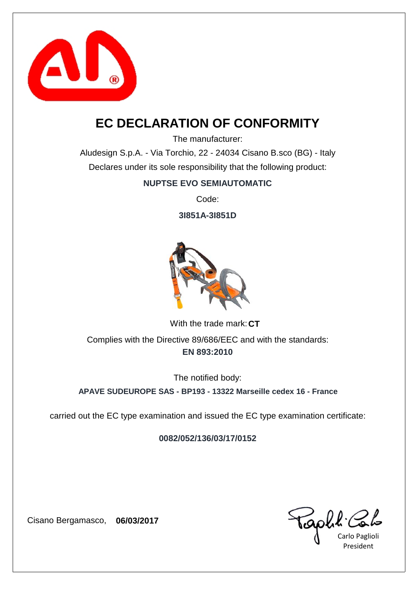

### **EC DECLARATION OF CONFORMITY**

The manufacturer:

Aludesign S.p.A. - Via Torchio, 22 - 24034 Cisano B.sco (BG) - Italy Declares under its sole responsibility that the following product:

#### **NUPTSE EVO SEMIAUTOMATIC**

Code:

**3I851A-3I851D**



With the trade mark: CT **EN 893:2010** Complies with the Directive 89/686/EEC and with the standards:

The notified body:

**APAVE SUDEUROPE SAS - BP193 - 13322 Marseille cedex 16 - France**

carried out the EC type examination and issued the EC type examination certificate:

**0082/052/136/03/17/0152**

Gobt'

Carlo Paglioli President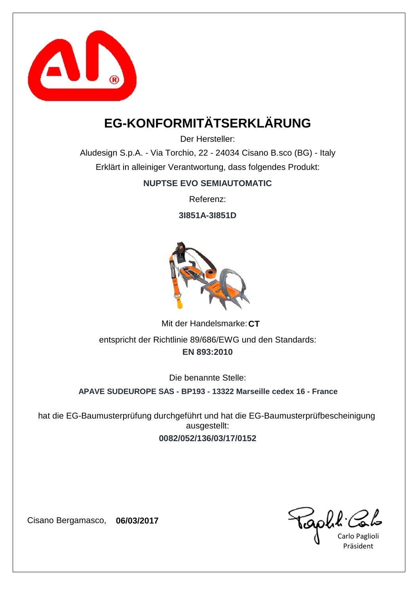

# **EG-KONFORMITÄTSERKLÄRUNG**

Der Hersteller:

Aludesign S.p.A. - Via Torchio, 22 - 24034 Cisano B.sco (BG) - Italy Erklärt in alleiniger Verantwortung, dass folgendes Produkt:

#### **NUPTSE EVO SEMIAUTOMATIC**

Referenz:

**3I851A-3I851D**



Mit der Handelsmarke: CT **EN 893:2010** entspricht der Richtlinie 89/686/EWG und den Standards:

Die benannte Stelle:

**APAVE SUDEUROPE SAS - BP193 - 13322 Marseille cedex 16 - France**

**0082/052/136/03/17/0152** hat die EG-Baumusterprüfung durchgeführt und hat die EG-Baumusterprüfbescheinigung ausgestellt:

Carlo Paglioli Präsident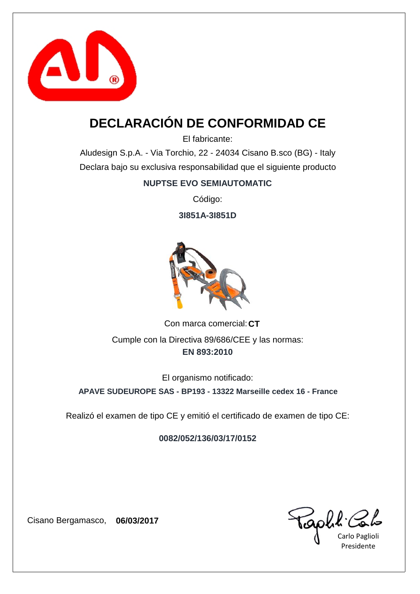

# **DECLARACIÓN DE CONFORMIDAD CE**

El fabricante:

Aludesign S.p.A. - Via Torchio, 22 - 24034 Cisano B.sco (BG) - Italy Declara bajo su exclusiva responsabilidad que el siguiente producto

#### **NUPTSE EVO SEMIAUTOMATIC**

Código:

**3I851A-3I851D**



Con marca comercial: CT **EN 893:2010** Cumple con la Directiva 89/686/CEE y las normas:

El organismo notificado:

**APAVE SUDEUROPE SAS - BP193 - 13322 Marseille cedex 16 - France**

Realizó el examen de tipo CE y emitió el certificado de examen de tipo CE:

**0082/052/136/03/17/0152**

Caph & Col=

Presidente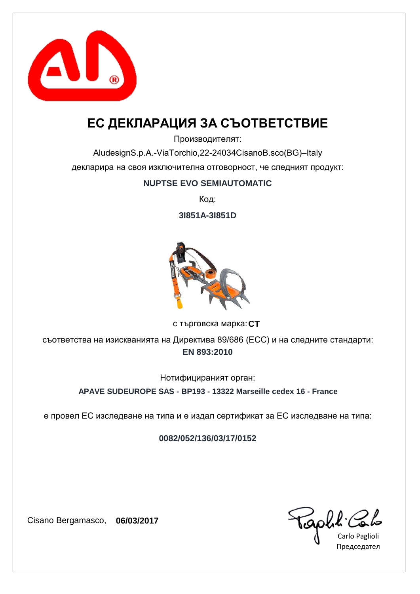

### **ЕС ДЕКЛАРАЦИЯ ЗА СЪОТВЕТСТВИЕ**

Производителят:

AludesignS.p.A.-ViaTorchio,22-24034CisanoB.sco(BG)–Italy декларира на своя изключителна отговорност, че следният продукт:

#### **NUPTSE EVO SEMIAUTOMATIC**

Код:

**3I851A-3I851D**



**CT** с търговска марка:

**EN 893:2010** съответства на изискванията на Директива 89/686 (ЕСС) и на следните стандарти:

Нотифицираният орган:

**APAVE SUDEUROPE SAS - BP193 - 13322 Marseille cedex 16 - France**

е провел ЕС изследване на типа и е издал сертификат за ЕС изследване на типа:

**0082/052/136/03/17/0152**

Capha Colo

Председател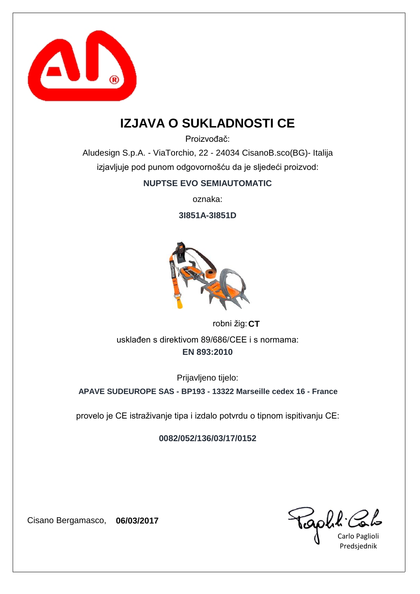

### **IZJAVA O SUKLADNOSTI CE**

Proizvođač:

Aludesign S.p.A. - ViaTorchio, 22 - 24034 CisanoB.sco(BG)- Italija izjavljuje pod punom odgovornošću da je sljedeći proizvod:

#### **NUPTSE EVO SEMIAUTOMATIC**

oznaka:

**3I851A-3I851D**



robni žig: **CT EN 893:2010** usklađen s direktivom 89/686/CEE i s normama:

Prijavljeno tijelo:

**APAVE SUDEUROPE SAS - BP193 - 13322 Marseille cedex 16 - France**

provelo je CE istraživanje tipa i izdalo potvrdu o tipnom ispitivanju CE:

**0082/052/136/03/17/0152**

Carlo Paglioli Predsjednik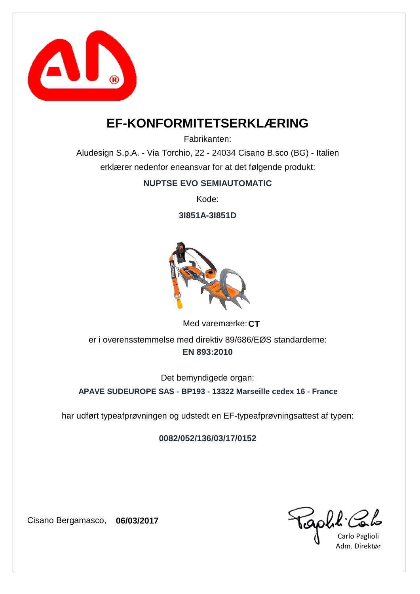

### **EF-KONFORMITETSERKLÆRING**

Fabrikanten:

Aludesign S.p.A. - Via Torchio, 22 - 24034 Cisano B.sco (BG) - Italien erklærer nedenfor eneansvar for at det følgende produkt:

**NUPTSE EVO SEMIAUTOMATIC**

Kode:

**3I851A-3I851D**



Med varemærke: CT **EN 893:2010** er i overensstemmelse med direktiv 89/686/EØS standarderne:

Det bemyndigede organ:

**APAVE SUDEUROPE SAS - BP193 - 13322 Marseille cedex 16 - France**

har udført typeafprøvningen og udstedt en EF-typeafprøvningsattest af typen:

**0082/052/136/03/17/0152**

Capha Carlo Paglioli

Adm. Direktør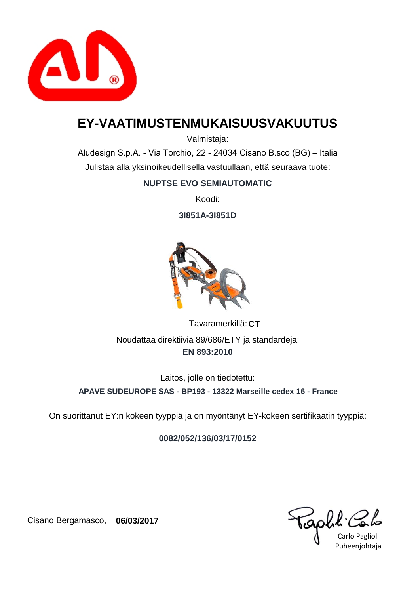

### **EY-VAATIMUSTENMUKAISUUSVAKUUTUS**

Valmistaja:

Aludesign S.p.A. - Via Torchio, 22 - 24034 Cisano B.sco (BG) – Italia Julistaa alla yksinoikeudellisella vastuullaan, että seuraava tuote:

#### **NUPTSE EVO SEMIAUTOMATIC**

Koodi:

**3I851A-3I851D**



**CT** Tavaramerkillä: **EN 893:2010** Noudattaa direktiiviä 89/686/ETY ja standardeja:

Laitos, jolle on tiedotettu:

**APAVE SUDEUROPE SAS - BP193 - 13322 Marseille cedex 16 - France**

On suorittanut EY:n kokeen tyyppiä ja on myöntänyt EY-kokeen sertifikaatin tyyppiä:

**0082/052/136/03/17/0152**

aphi C

Carlo Paglioli Puheenjohtaja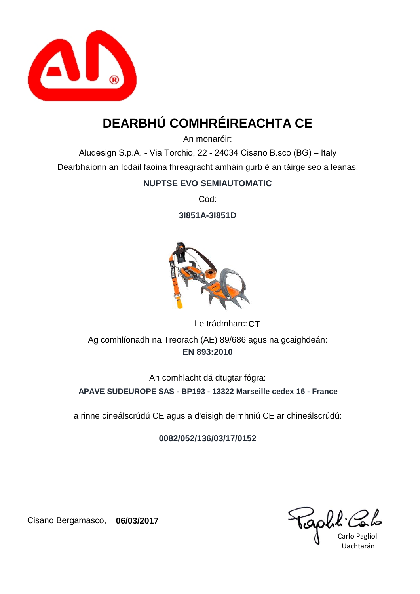

# **DEARBHÚ COMHRÉIREACHTA CE**

An monaróir:

Aludesign S.p.A. - Via Torchio, 22 - 24034 Cisano B.sco (BG) – Italy Dearbhaíonn an Iodáil faoina fhreagracht amháin gurb é an táirge seo a leanas:

#### **NUPTSE EVO SEMIAUTOMATIC**

Cód:

**3I851A-3I851D**



Le trádmharc: CT **EN 893:2010** Ag comhlíonadh na Treorach (AE) 89/686 agus na gcaighdeán:

An comhlacht dá dtugtar fógra:

**APAVE SUDEUROPE SAS - BP193 - 13322 Marseille cedex 16 - France**

a rinne cineálscrúdú CE agus a d'eisigh deimhniú CE ar chineálscrúdú:

**0082/052/136/03/17/0152**

GOWK Cou

Uachtarán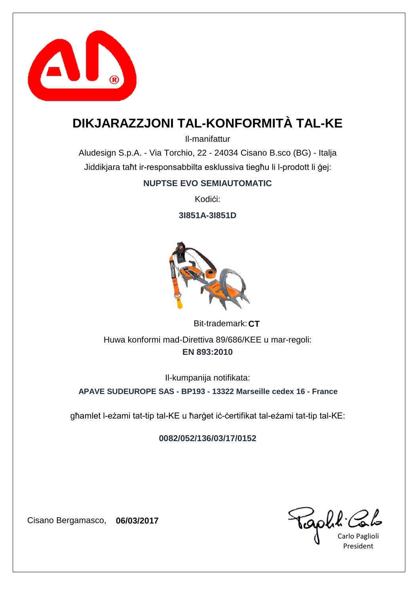

## **DIKJARAZZJONI TAL-KONFORMITÀ TAL-KE**

Il-manifattur

Aludesign S.p.A. - Via Torchio, 22 - 24034 Cisano B.sco (BG) - Italja Jiddikjara taħt ir-responsabbilta esklussiva tiegħu li l-prodott li ġej:

#### **NUPTSE EVO SEMIAUTOMATIC**

Kodići:

**3I851A-3I851D**



Bit-trademark: CT **EN 893:2010** Huwa konformi mad-Direttiva 89/686/KEE u mar-regoli:

Il-kumpanija notifikata:

**APAVE SUDEUROPE SAS - BP193 - 13322 Marseille cedex 16 - France**

għamlet l-eżami tat-tip tal-KE u ħarġet iċ-ċertifikat tal-eżami tat-tip tal-KE:

**0082/052/136/03/17/0152**

capha.

Carlo Paglioli President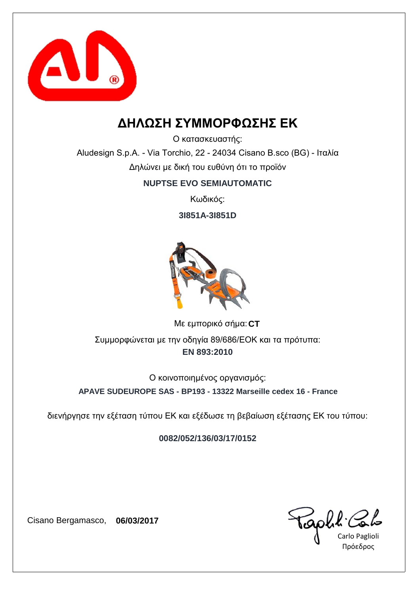

### **ΔΗΛΩΣΗ ΣΥΜΜΟΡΦΩΣΗΣ ΕΚ**

Ο κατασκευαστής:

Aludesign S.p.A. - Via Torchio, 22 - 24034 Cisano B.sco (BG) - Ιταλία Δηλώνει με δική του ευθύνη ότι το προϊόν

#### **NUPTSE EVO SEMIAUTOMATIC**

Κωδικός:

**3I851A-3I851D**



**CT** Με εμπορικό σήμα: **EN 893:2010** Συμμορφώνεται με την οδηγία 89/686/ΕΟΚ και τα πρότυπα:

**APAVE SUDEUROPE SAS - BP193 - 13322 Marseille cedex 16 - France** Ο κοινοποιημένος οργανισμός:

διενήργησε την εξέταση τύπου ΕΚ και εξέδωσε τη βεβαίωση εξέτασης ΕΚ του τύπου:

**0082/052/136/03/17/0152**

Carlo Paglioli Πρόεδρος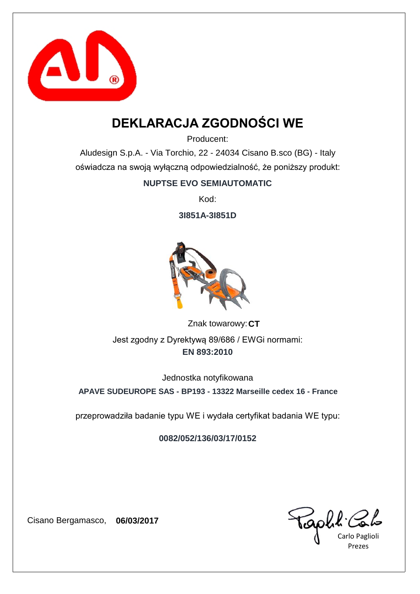

## **DEKLARACJA ZGODNOŚCI WE**

Producent:

Aludesign S.p.A. - Via Torchio, 22 - 24034 Cisano B.sco (BG) - Italy oświadcza na swoją wyłączną odpowiedzialność, że poniższy produkt:

#### **NUPTSE EVO SEMIAUTOMATIC**

Kod:

**3I851A-3I851D**



Znak towarowy: CT **EN 893:2010** Jest zgodny z Dyrektywą 89/686 / EWGi normami:

Jednostka notyfikowana

**APAVE SUDEUROPE SAS - BP193 - 13322 Marseille cedex 16 - France**

przeprowadziła badanie typu WE i wydała certyfikat badania WE typu:

**0082/052/136/03/17/0152**

Carlo Paglioli Prezes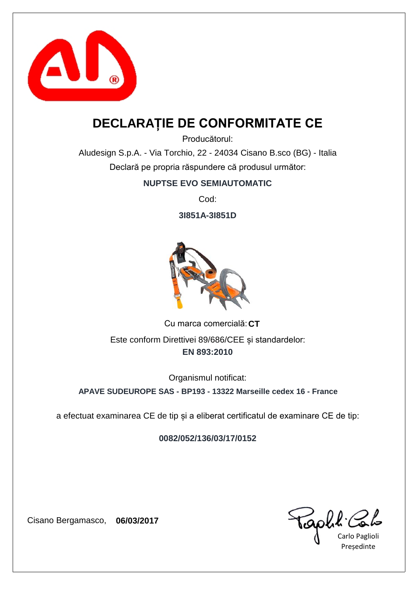

### **DECLARAȚIE DE CONFORMITATE CE**

Producătorul:

Aludesign S.p.A. - Via Torchio, 22 - 24034 Cisano B.sco (BG) - Italia Declară pe propria răspundere că produsul următor:

#### **NUPTSE EVO SEMIAUTOMATIC**

Cod:

**3I851A-3I851D**



Cu marca comercială: CT **EN 893:2010** Este conform Direttivei 89/686/CEE și standardelor:

Organismul notificat:

**APAVE SUDEUROPE SAS - BP193 - 13322 Marseille cedex 16 - France**

a efectuat examinarea CE de tip și a eliberat certificatul de examinare CE de tip:

**0082/052/136/03/17/0152**

Caph & Colo

Președinte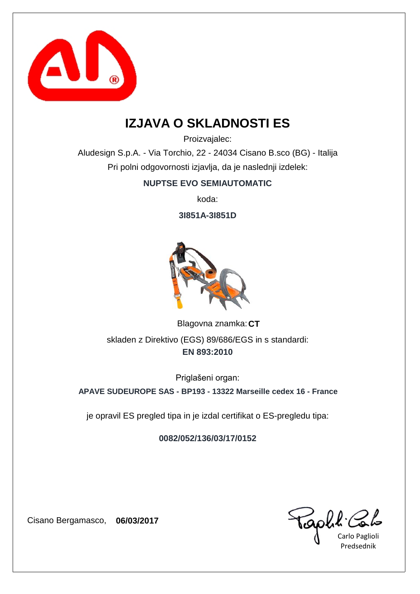

### **IZJAVA O SKLADNOSTI ES**

Proizvajalec:

Aludesign S.p.A. - Via Torchio, 22 - 24034 Cisano B.sco (BG) - Italija Pri polni odgovornosti izjavlja, da je naslednji izdelek:

#### **NUPTSE EVO SEMIAUTOMATIC**

koda:

**3I851A-3I851D**



Blagovna znamka: CT **EN 893:2010** skladen z Direktivo (EGS) 89/686/EGS in s standardi:

Priglašeni organ:

**APAVE SUDEUROPE SAS - BP193 - 13322 Marseille cedex 16 - France**

je opravil ES pregled tipa in je izdal certifikat o ES-pregledu tipa:

**0082/052/136/03/17/0152**

GOULL Colo

Predsednik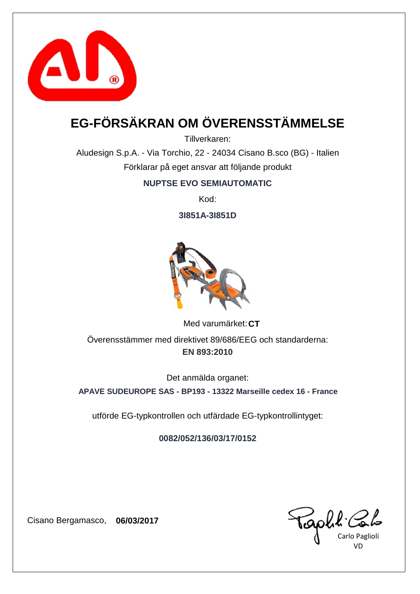

# **EG-FÖRSÄKRAN OM ÖVERENSSTÄMMELSE**

Tillverkaren:

Aludesign S.p.A. - Via Torchio, 22 - 24034 Cisano B.sco (BG) - Italien Förklarar på eget ansvar att följande produkt

#### **NUPTSE EVO SEMIAUTOMATIC**

Kod:

**3I851A-3I851D**



Med varumärket: CT **EN 893:2010** Överensstämmer med direktivet 89/686/EEG och standarderna:

Det anmälda organet:

**APAVE SUDEUROPE SAS - BP193 - 13322 Marseille cedex 16 - France**

utförde EG-typkontrollen och utfärdade EG-typkontrollintyget:

**0082/052/136/03/17/0152**

Carlo Paglioli VD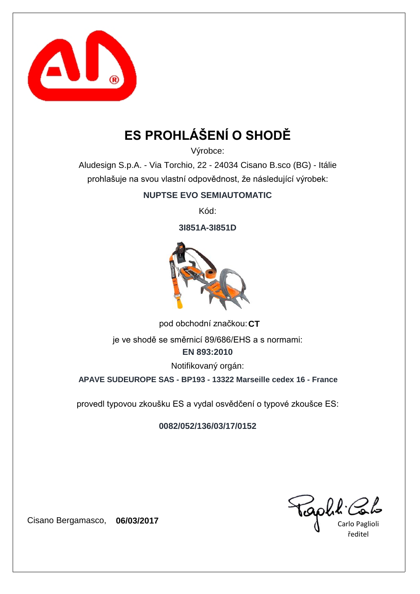

# **ES PROHLÁŠENÍ O SHODĚ**

Výrobce:

Aludesign S.p.A. - Via Torchio, 22 - 24034 Cisano B.sco (BG) - Itálie prohlašuje na svou vlastní odpovědnost, že následující výrobek:

**NUPTSE EVO SEMIAUTOMATIC**

Kód:

**3I851A-3I851D**



pod obchodní značkou: CT

**EN 893:2010** je ve shodě se směrnicí 89/686/EHS a s normami:

Notifikovaný orgán:

**APAVE SUDEUROPE SAS - BP193 - 13322 Marseille cedex 16 - France**

provedl typovou zkoušku ES a vydal osvědčení o typové zkoušce ES:

**0082/052/136/03/17/0152**

Teaph! Colo

ředitel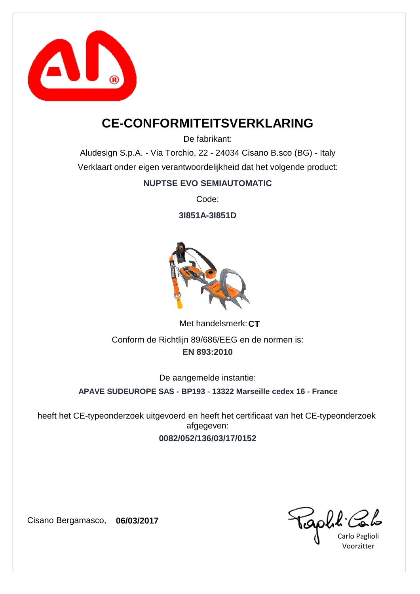

### **CE-CONFORMITEITSVERKLARING**

De fabrikant:

Aludesign S.p.A. - Via Torchio, 22 - 24034 Cisano B.sco (BG) - Italy Verklaart onder eigen verantwoordelijkheid dat het volgende product:

#### **NUPTSE EVO SEMIAUTOMATIC**

Code:

**3I851A-3I851D**



Met handelsmerk: CT **EN 893:2010** Conform de Richtlijn 89/686/EEG en de normen is:

De aangemelde instantie:

**APAVE SUDEUROPE SAS - BP193 - 13322 Marseille cedex 16 - France**

**0082/052/136/03/17/0152** heeft het CE-typeonderzoek uitgevoerd en heeft het certificaat van het CE-typeonderzoek afgegeven:

Golk'

Carlo Paglioli Voorzitter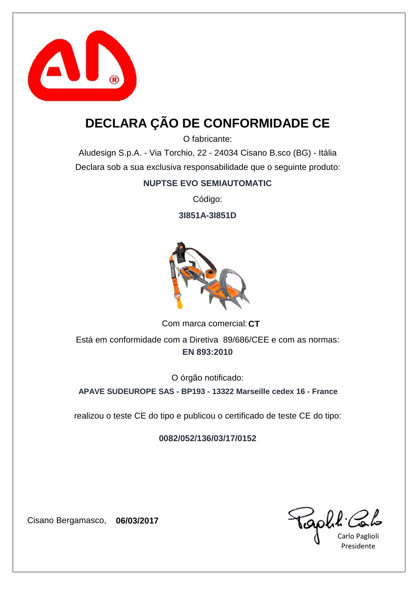

## **DECLARA ÇÃO DE CONFORMIDADE CE**

O fabricante:

Aludesign S.p.A. - Via Torchio, 22 - 24034 Cisano B.sco (BG) - Itália Declara sob a sua exclusiva responsabilidade que o seguinte produto:

#### **NUPTSE EVO SEMIAUTOMATIC**

Código:

**3I851A-3I851D**



Com marca comercial: CT

**EN 893:2010** Está em conformidade com a Diretiva 89/686/CEE e com as normas:

O órgão notificado:

**APAVE SUDEUROPE SAS - BP193 - 13322 Marseille cedex 16 - France**

realizou o teste CE do tipo e publicou o certificado de teste CE do tipo:

**0082/052/136/03/17/0152**

Caph & Colo

Presidente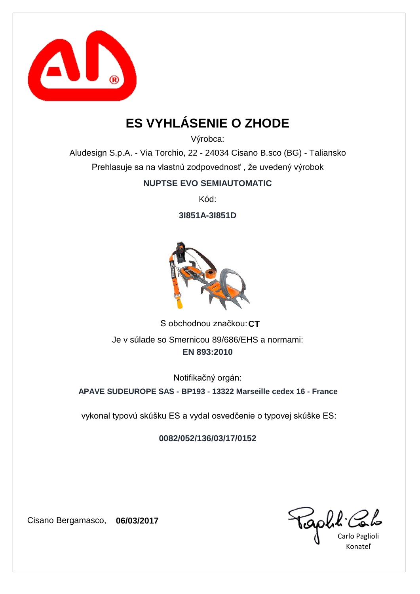

# **ES VYHLÁSENIE O ZHODE**

Výrobca:

Aludesign S.p.A. - Via Torchio, 22 - 24034 Cisano B.sco (BG) - Taliansko Prehlasuje sa na vlastnú zodpovednosť , že uvedený výrobok

**NUPTSE EVO SEMIAUTOMATIC**

Kód:

**3I851A-3I851D**



S obchodnou značkou: CT **EN 893:2010** Je v súlade so Smernicou 89/686/EHS a normami:

Notifikačný orgán:

**APAVE SUDEUROPE SAS - BP193 - 13322 Marseille cedex 16 - France**

vykonal typovú skúšku ES a vydal osvedčenie o typovej skúške ES:

**0082/052/136/03/17/0152**

Carlo Paglioli Konateľ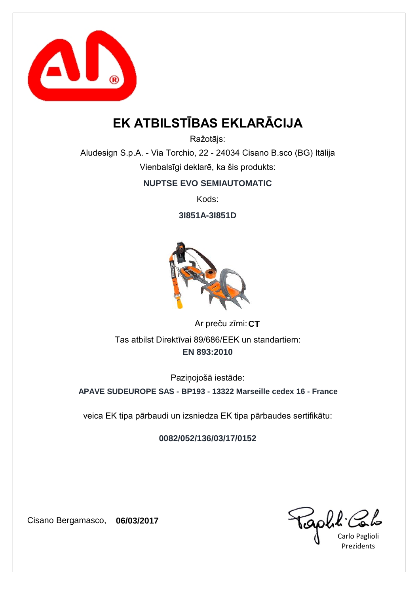

# **EK ATBILSTĪBAS EKLARĀCIJA**

Ražotājs:

Aludesign S.p.A. - Via Torchio, 22 - 24034 Cisano B.sco (BG) Itālija Vienbalsīgi deklarē, ka šis produkts:

**NUPTSE EVO SEMIAUTOMATIC**

Kods:

**3I851A-3I851D**



Ar preču zīmi: CT **EN 893:2010** Tas atbilst Direktīvai 89/686/EEK un standartiem:

Paziņojošā iestāde:

**APAVE SUDEUROPE SAS - BP193 - 13322 Marseille cedex 16 - France**

veica EK tipa pārbaudi un izsniedza EK tipa pārbaudes sertifikātu:

**0082/052/136/03/17/0152**

GOULK Colo

Prezidents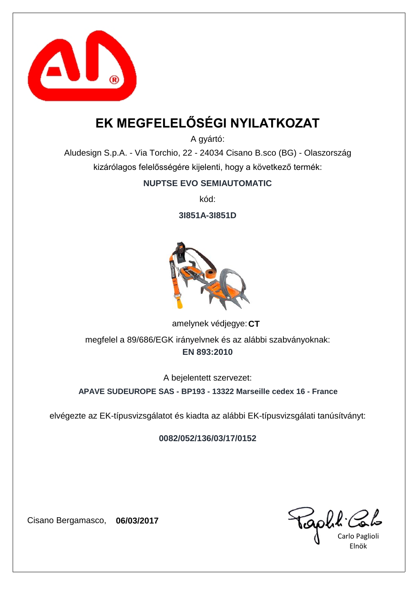

# **EK MEGFELELŐSÉGI NYILATKOZAT**

A gyártó:

Aludesign S.p.A. - Via Torchio, 22 - 24034 Cisano B.sco (BG) - Olaszország kizárólagos felelősségére kijelenti, hogy a következő termék:

#### **NUPTSE EVO SEMIAUTOMATIC**

kód:

**3I851A-3I851D**



amelynek védjegye: CT **EN 893:2010** megfelel a 89/686/EGK irányelvnek és az alábbi szabványoknak:

A bejelentett szervezet:

**APAVE SUDEUROPE SAS - BP193 - 13322 Marseille cedex 16 - France**

elvégezte az EK-típusvizsgálatot és kiadta az alábbi EK-típusvizsgálati tanúsítványt:

**0082/052/136/03/17/0152**

Carlo Paglioli Elnök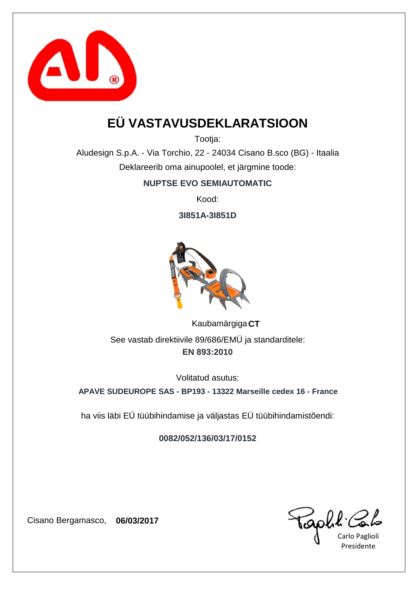

## **EÜ VASTAVUSDEKLARATSIOON**

Tootja:

Aludesign S.p.A. - Via Torchio, 22 - 24034 Cisano B.sco (BG) - Itaalia Deklareerib oma ainupoolel, et järgmine toode:

#### **NUPTSE EVO SEMIAUTOMATIC**

Kood:

**3I851A-3I851D**



**CT** Kaubamärgiga **EN 893:2010** See vastab direktiivile 89/686/EMÜ ja standarditele:

Volitatud asutus:

**APAVE SUDEUROPE SAS - BP193 - 13322 Marseille cedex 16 - France**

ha viis läbi EÜ tüübihindamise ja väljastas EÜ tüübihindamistõendi:

**0082/052/136/03/17/0152**

capha.

Carlo Paglioli Presidente